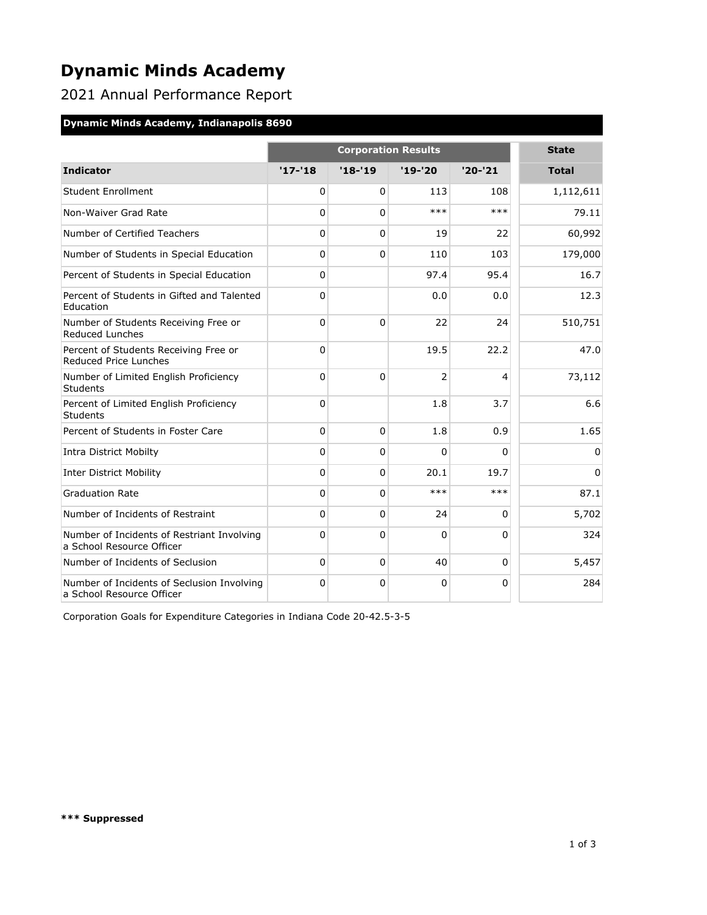# **Dynamic Minds Academy**

2021 Annual Performance Report

#### **Dynamic Minds Academy, Indianapolis 8690**

|                                                                         |              | <b>State</b> |                |             |              |
|-------------------------------------------------------------------------|--------------|--------------|----------------|-------------|--------------|
| <b>Indicator</b>                                                        | $'17 - '18$  | $'18 - 19$   | $'19 - '20$    | $'20-'21$   | <b>Total</b> |
| <b>Student Enrollment</b>                                               | 0            | 0            | 113            | 108         | 1,112,611    |
| Non-Waiver Grad Rate                                                    | 0            | 0            | $***$          | ***         | 79.11        |
| Number of Certified Teachers                                            | 0            | 0            | 19             | 22          | 60,992       |
| Number of Students in Special Education                                 | 0            | $\Omega$     | 110            | 103         | 179,000      |
| Percent of Students in Special Education                                | 0            |              | 97.4           | 95.4        | 16.7         |
| Percent of Students in Gifted and Talented<br>Education                 | 0            |              | 0.0            | 0.0         | 12.3         |
| Number of Students Receiving Free or<br><b>Reduced Lunches</b>          | 0            | $\Omega$     | 22             | 24          | 510,751      |
| Percent of Students Receiving Free or<br>Reduced Price Lunches          | 0            |              | 19.5           | 22.2        | 47.0         |
| Number of Limited English Proficiency<br>Students                       | 0            | $\Omega$     | $\overline{2}$ | 4           | 73,112       |
| Percent of Limited English Proficiency<br>Students                      | 0            |              | 1.8            | 3.7         | 6.6          |
| Percent of Students in Foster Care                                      | $\mathbf{0}$ | $\Omega$     | 1.8            | 0.9         | 1.65         |
| <b>Intra District Mobilty</b>                                           | 0            | 0            | $\Omega$       | $\mathbf 0$ | 0            |
| <b>Inter District Mobility</b>                                          | 0            | 0            | 20.1           | 19.7        | $\Omega$     |
| <b>Graduation Rate</b>                                                  | 0            | $\Omega$     | $***$          | $***$       | 87.1         |
| Number of Incidents of Restraint                                        | 0            | $\Omega$     | 24             | $\Omega$    | 5,702        |
| Number of Incidents of Restriant Involving<br>a School Resource Officer | 0            | $\Omega$     | $\Omega$       | $\Omega$    | 324          |
| Number of Incidents of Seclusion                                        | 0            | 0            | 40             | $\Omega$    | 5,457        |
| Number of Incidents of Seclusion Involving<br>a School Resource Officer | 0            | $\mathbf 0$  | $\mathbf{0}$   | $\Omega$    | 284          |

Corporation Goals for Expenditure Categories in Indiana Code 20-42.5-3-5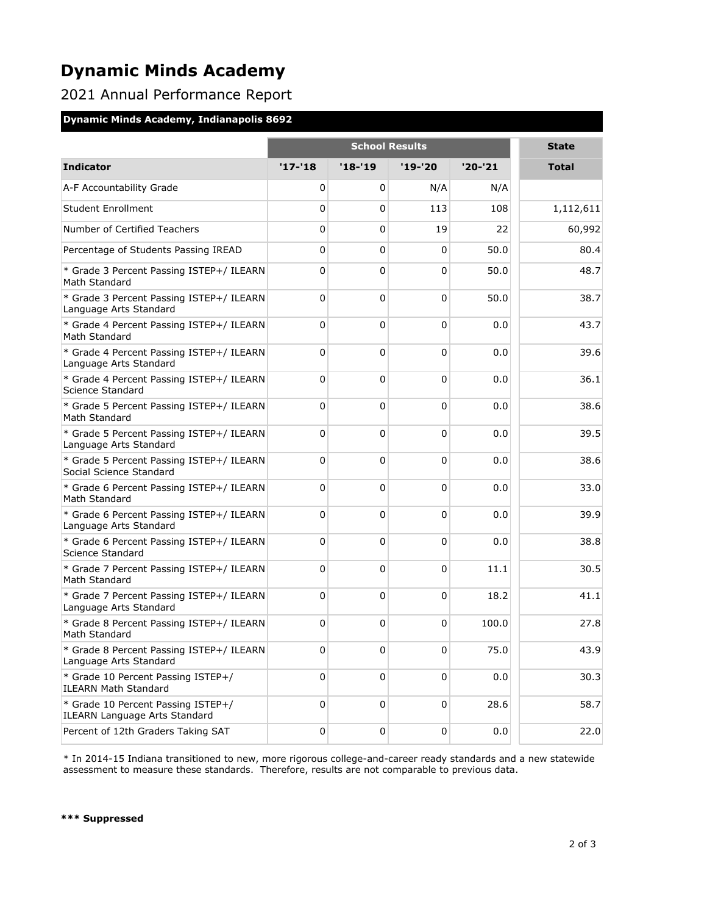## **Dynamic Minds Academy**

### 2021 Annual Performance Report

#### **Dynamic Minds Academy, Indianapolis 8692**

|                                                                            | <b>School Results</b> |          |             |         | <b>State</b> |
|----------------------------------------------------------------------------|-----------------------|----------|-------------|---------|--------------|
| <b>Indicator</b>                                                           | $'17 - 18$            | $'18-19$ | $'19-'20$   | '20-'21 | <b>Total</b> |
| A-F Accountability Grade                                                   | 0                     | 0        | N/A         | N/A     |              |
| <b>Student Enrollment</b>                                                  | 0                     | 0        | 113         | 108     | 1,112,611    |
| Number of Certified Teachers                                               | 0                     | 0        | 19          | 22      | 60,992       |
| Percentage of Students Passing IREAD                                       | 0                     | 0        | 0           | 50.0    | 80.4         |
| * Grade 3 Percent Passing ISTEP+/ ILEARN<br>Math Standard                  | 0                     | 0        | 0           | 50.0    | 48.7         |
| * Grade 3 Percent Passing ISTEP+/ ILEARN<br>Language Arts Standard         | 0                     | 0        | 0           | 50.0    | 38.7         |
| * Grade 4 Percent Passing ISTEP+/ ILEARN<br>Math Standard                  | 0                     | 0        | 0           | 0.0     | 43.7         |
| * Grade 4 Percent Passing ISTEP+/ ILEARN<br>Language Arts Standard         | 0                     | 0        | 0           | 0.0     | 39.6         |
| * Grade 4 Percent Passing ISTEP+/ ILEARN<br>Science Standard               | 0                     | 0        | 0           | 0.0     | 36.1         |
| * Grade 5 Percent Passing ISTEP+/ ILEARN<br>Math Standard                  | 0                     | 0        | 0           | 0.0     | 38.6         |
| * Grade 5 Percent Passing ISTEP+/ ILEARN<br>Language Arts Standard         | 0                     | 0        | 0           | 0.0     | 39.5         |
| * Grade 5 Percent Passing ISTEP+/ ILEARN<br>Social Science Standard        | 0                     | 0        | 0           | 0.0     | 38.6         |
| * Grade 6 Percent Passing ISTEP+/ ILEARN<br>Math Standard                  | 0                     | 0        | 0           | 0.0     | 33.0         |
| * Grade 6 Percent Passing ISTEP+/ ILEARN<br>Language Arts Standard         | 0                     | 0        | 0           | 0.0     | 39.9         |
| * Grade 6 Percent Passing ISTEP+/ ILEARN<br>Science Standard               | 0                     | 0        | 0           | 0.0     | 38.8         |
| * Grade 7 Percent Passing ISTEP+/ ILEARN<br>Math Standard                  | 0                     | 0        | 0           | 11.1    | 30.5         |
| * Grade 7 Percent Passing ISTEP+/ ILEARN<br>Language Arts Standard         | 0                     | 0        | 0           | 18.2    | 41.1         |
| * Grade 8 Percent Passing ISTEP+/ ILEARN<br>Math Standard                  | 0                     | 0        | 0           | 100.0   | 27.8         |
| * Grade 8 Percent Passing ISTEP+/ ILEARN<br>Language Arts Standard         | 0                     | 0        | 0           | 75.0    | 43.9         |
| * Grade 10 Percent Passing ISTEP+/<br><b>ILEARN Math Standard</b>          | 0                     | 0        | $\mathbf 0$ | 0.0     | 30.3         |
| * Grade 10 Percent Passing ISTEP+/<br><b>ILEARN Language Arts Standard</b> | 0                     | 0        | $\mathbf 0$ | 28.6    | 58.7         |
| Percent of 12th Graders Taking SAT                                         | 0                     | 0        | 0           | 0.0     | 22.0         |

\* In 2014-15 Indiana transitioned to new, more rigorous college-and-career ready standards and a new statewide assessment to measure these standards. Therefore, results are not comparable to previous data.